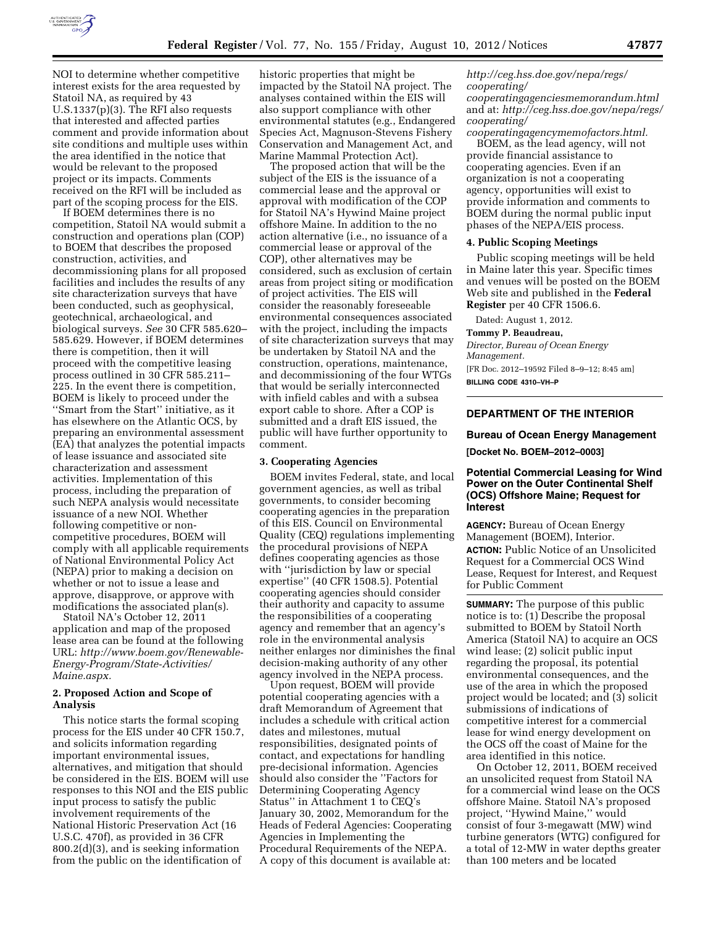

NOI to determine whether competitive interest exists for the area requested by Statoil NA, as required by 43 U.S.1337(p)(3). The RFI also requests that interested and affected parties comment and provide information about site conditions and multiple uses within the area identified in the notice that would be relevant to the proposed project or its impacts. Comments received on the RFI will be included as part of the scoping process for the EIS.

If BOEM determines there is no competition, Statoil NA would submit a construction and operations plan (COP) to BOEM that describes the proposed construction, activities, and decommissioning plans for all proposed facilities and includes the results of any site characterization surveys that have been conducted, such as geophysical, geotechnical, archaeological, and biological surveys. *See* 30 CFR 585.620– 585.629. However, if BOEM determines there is competition, then it will proceed with the competitive leasing process outlined in 30 CFR 585.211– 225. In the event there is competition, BOEM is likely to proceed under the ''Smart from the Start'' initiative, as it has elsewhere on the Atlantic OCS, by preparing an environmental assessment (EA) that analyzes the potential impacts of lease issuance and associated site characterization and assessment activities. Implementation of this process, including the preparation of such NEPA analysis would necessitate issuance of a new NOI. Whether following competitive or noncompetitive procedures, BOEM will comply with all applicable requirements of National Environmental Policy Act (NEPA) prior to making a decision on whether or not to issue a lease and approve, disapprove, or approve with modifications the associated plan(s).

Statoil NA's October 12, 2011 application and map of the proposed lease area can be found at the following URL: *[http://www.boem.gov/Renewable-](http://www.boem.gov/Renewable-Energy-Program/State-Activities/Maine.aspx)[Energy-Program/State-Activities/](http://www.boem.gov/Renewable-Energy-Program/State-Activities/Maine.aspx) [Maine.aspx.](http://www.boem.gov/Renewable-Energy-Program/State-Activities/Maine.aspx)* 

## **2. Proposed Action and Scope of Analysis**

This notice starts the formal scoping process for the EIS under 40 CFR 150.7, and solicits information regarding important environmental issues, alternatives, and mitigation that should be considered in the EIS. BOEM will use responses to this NOI and the EIS public input process to satisfy the public involvement requirements of the National Historic Preservation Act (16 U.S.C. 470f), as provided in 36 CFR 800.2(d)(3), and is seeking information from the public on the identification of

historic properties that might be impacted by the Statoil NA project. The analyses contained within the EIS will also support compliance with other environmental statutes (e.g., Endangered Species Act, Magnuson-Stevens Fishery Conservation and Management Act, and Marine Mammal Protection Act).

The proposed action that will be the subject of the EIS is the issuance of a commercial lease and the approval or approval with modification of the COP for Statoil NA's Hywind Maine project offshore Maine. In addition to the no action alternative (i.e., no issuance of a commercial lease or approval of the COP), other alternatives may be considered, such as exclusion of certain areas from project siting or modification of project activities. The EIS will consider the reasonably foreseeable environmental consequences associated with the project, including the impacts of site characterization surveys that may be undertaken by Statoil NA and the construction, operations, maintenance, and decommissioning of the four WTGs that would be serially interconnected with infield cables and with a subsea export cable to shore. After a COP is submitted and a draft EIS issued, the public will have further opportunity to comment.

#### **3. Cooperating Agencies**

BOEM invites Federal, state, and local government agencies, as well as tribal governments, to consider becoming cooperating agencies in the preparation of this EIS. Council on Environmental Quality (CEQ) regulations implementing the procedural provisions of NEPA defines cooperating agencies as those with ''jurisdiction by law or special expertise'' (40 CFR 1508.5). Potential cooperating agencies should consider their authority and capacity to assume the responsibilities of a cooperating agency and remember that an agency's role in the environmental analysis neither enlarges nor diminishes the final decision-making authority of any other agency involved in the NEPA process.

Upon request, BOEM will provide potential cooperating agencies with a draft Memorandum of Agreement that includes a schedule with critical action dates and milestones, mutual responsibilities, designated points of contact, and expectations for handling pre-decisional information. Agencies should also consider the ''Factors for Determining Cooperating Agency Status'' in Attachment 1 to CEQ's January 30, 2002, Memorandum for the Heads of Federal Agencies: Cooperating Agencies in Implementing the Procedural Requirements of the NEPA. A copy of this document is available at:

*[http://ceg.hss.doe.gov/nepa/regs/](http://ceg.hss.doe.gov/nepa/regs/cooperating/cooperatingagenciesmemorandum.html)  [cooperating/](http://ceg.hss.doe.gov/nepa/regs/cooperating/cooperatingagenciesmemorandum.html) [cooperatingagenciesmemorandum.html](http://ceg.hss.doe.gov/nepa/regs/cooperating/cooperatingagenciesmemorandum.html)*  and at: *[http://ceg.hss.doe.gov/nepa/regs/](http://ceg.hss.doe.gov/nepa/regs/cooperating/cooperatingagencymemofactors.html)* 

*[cooperating/](http://ceg.hss.doe.gov/nepa/regs/cooperating/cooperatingagencymemofactors.html) [cooperatingagencymemofactors.html.](http://ceg.hss.doe.gov/nepa/regs/cooperating/cooperatingagencymemofactors.html)*  BOEM, as the lead agency, will not provide financial assistance to cooperating agencies. Even if an organization is not a cooperating agency, opportunities will exist to provide information and comments to BOEM during the normal public input phases of the NEPA/EIS process.

#### **4. Public Scoping Meetings**

Public scoping meetings will be held in Maine later this year. Specific times and venues will be posted on the BOEM Web site and published in the **Federal Register** per 40 CFR 1506.6.

Dated: August 1, 2012.

#### **Tommy P. Beaudreau,**

*Director, Bureau of Ocean Energy Management.* 

[FR Doc. 2012–19592 Filed 8–9–12; 8:45 am] **BILLING CODE 4310–VH–P** 

## **DEPARTMENT OF THE INTERIOR**

#### **Bureau of Ocean Energy Management**

**[Docket No. BOEM–2012–0003]** 

#### **Potential Commercial Leasing for Wind Power on the Outer Continental Shelf (OCS) Offshore Maine; Request for Interest**

**AGENCY:** Bureau of Ocean Energy Management (BOEM), Interior. **ACTION:** Public Notice of an Unsolicited Request for a Commercial OCS Wind Lease, Request for Interest, and Request for Public Comment

**SUMMARY:** The purpose of this public notice is to: (1) Describe the proposal submitted to BOEM by Statoil North America (Statoil NA) to acquire an OCS wind lease; (2) solicit public input regarding the proposal, its potential environmental consequences, and the use of the area in which the proposed project would be located; and (3) solicit submissions of indications of competitive interest for a commercial lease for wind energy development on the OCS off the coast of Maine for the area identified in this notice.

On October 12, 2011, BOEM received an unsolicited request from Statoil NA for a commercial wind lease on the OCS offshore Maine. Statoil NA's proposed project, ''Hywind Maine,'' would consist of four 3-megawatt (MW) wind turbine generators (WTG) configured for a total of 12-MW in water depths greater than 100 meters and be located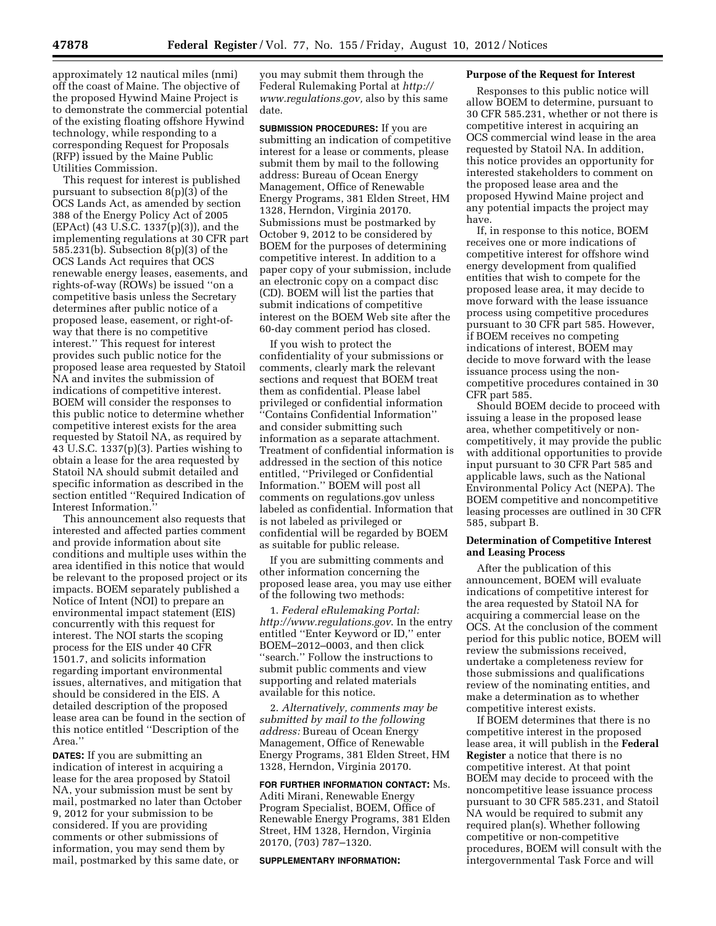approximately 12 nautical miles (nmi) off the coast of Maine. The objective of the proposed Hywind Maine Project is to demonstrate the commercial potential of the existing floating offshore Hywind technology, while responding to a corresponding Request for Proposals (RFP) issued by the Maine Public Utilities Commission.

This request for interest is published pursuant to subsection 8(p)(3) of the OCS Lands Act, as amended by section 388 of the Energy Policy Act of 2005 (EPAct) (43 U.S.C. 1337(p)(3)), and the implementing regulations at 30 CFR part 585.231(b). Subsection 8(p)(3) of the OCS Lands Act requires that OCS renewable energy leases, easements, and rights-of-way (ROWs) be issued ''on a competitive basis unless the Secretary determines after public notice of a proposed lease, easement, or right-ofway that there is no competitive interest.'' This request for interest provides such public notice for the proposed lease area requested by Statoil NA and invites the submission of indications of competitive interest. BOEM will consider the responses to this public notice to determine whether competitive interest exists for the area requested by Statoil NA, as required by 43 U.S.C. 1337(p)(3). Parties wishing to obtain a lease for the area requested by Statoil NA should submit detailed and specific information as described in the section entitled ''Required Indication of Interest Information.''

This announcement also requests that interested and affected parties comment and provide information about site conditions and multiple uses within the area identified in this notice that would be relevant to the proposed project or its impacts. BOEM separately published a Notice of Intent (NOI) to prepare an environmental impact statement (EIS) concurrently with this request for interest. The NOI starts the scoping process for the EIS under 40 CFR 1501.7, and solicits information regarding important environmental issues, alternatives, and mitigation that should be considered in the EIS. A detailed description of the proposed lease area can be found in the section of this notice entitled ''Description of the Area.'

**DATES:** If you are submitting an indication of interest in acquiring a lease for the area proposed by Statoil NA, your submission must be sent by mail, postmarked no later than October 9, 2012 for your submission to be considered. If you are providing comments or other submissions of information, you may send them by mail, postmarked by this same date, or

you may submit them through the Federal Rulemaking Portal at *[http://](http://www.regulations.gov)  [www.regulations.gov,](http://www.regulations.gov)* also by this same date.

**SUBMISSION PROCEDURES:** If you are submitting an indication of competitive interest for a lease or comments, please submit them by mail to the following address: Bureau of Ocean Energy Management, Office of Renewable Energy Programs, 381 Elden Street, HM 1328, Herndon, Virginia 20170. Submissions must be postmarked by October 9, 2012 to be considered by BOEM for the purposes of determining competitive interest. In addition to a paper copy of your submission, include an electronic copy on a compact disc (CD). BOEM will list the parties that submit indications of competitive interest on the BOEM Web site after the 60-day comment period has closed.

If you wish to protect the confidentiality of your submissions or comments, clearly mark the relevant sections and request that BOEM treat them as confidential. Please label privileged or confidential information ''Contains Confidential Information'' and consider submitting such information as a separate attachment. Treatment of confidential information is addressed in the section of this notice entitled, ''Privileged or Confidential Information.'' BOEM will post all comments on regulations.gov unless labeled as confidential. Information that is not labeled as privileged or confidential will be regarded by BOEM as suitable for public release.

If you are submitting comments and other information concerning the proposed lease area, you may use either of the following two methods:

1. *Federal eRulemaking Portal: <http://www.regulations.gov>*. In the entry entitled ''Enter Keyword or ID,'' enter BOEM–2012–0003, and then click ''search.'' Follow the instructions to submit public comments and view supporting and related materials available for this notice.

2. *Alternatively, comments may be submitted by mail to the following address:* Bureau of Ocean Energy Management, Office of Renewable Energy Programs, 381 Elden Street, HM 1328, Herndon, Virginia 20170.

## **FOR FURTHER INFORMATION CONTACT:** Ms. Aditi Mirani, Renewable Energy Program Specialist, BOEM, Office of Renewable Energy Programs, 381 Elden Street, HM 1328, Herndon, Virginia 20170, (703) 787–1320.

#### **SUPPLEMENTARY INFORMATION:**

#### **Purpose of the Request for Interest**

Responses to this public notice will allow BOEM to determine, pursuant to 30 CFR 585.231, whether or not there is competitive interest in acquiring an OCS commercial wind lease in the area requested by Statoil NA. In addition, this notice provides an opportunity for interested stakeholders to comment on the proposed lease area and the proposed Hywind Maine project and any potential impacts the project may have.

If, in response to this notice, BOEM receives one or more indications of competitive interest for offshore wind energy development from qualified entities that wish to compete for the proposed lease area, it may decide to move forward with the lease issuance process using competitive procedures pursuant to 30 CFR part 585. However, if BOEM receives no competing indications of interest, BOEM may decide to move forward with the lease issuance process using the noncompetitive procedures contained in 30 CFR part 585.

Should BOEM decide to proceed with issuing a lease in the proposed lease area, whether competitively or noncompetitively, it may provide the public with additional opportunities to provide input pursuant to 30 CFR Part 585 and applicable laws, such as the National Environmental Policy Act (NEPA). The BOEM competitive and noncompetitive leasing processes are outlined in 30 CFR 585, subpart B.

#### **Determination of Competitive Interest and Leasing Process**

After the publication of this announcement, BOEM will evaluate indications of competitive interest for the area requested by Statoil NA for acquiring a commercial lease on the OCS. At the conclusion of the comment period for this public notice, BOEM will review the submissions received, undertake a completeness review for those submissions and qualifications review of the nominating entities, and make a determination as to whether competitive interest exists.

If BOEM determines that there is no competitive interest in the proposed lease area, it will publish in the **Federal Register** a notice that there is no competitive interest. At that point BOEM may decide to proceed with the noncompetitive lease issuance process pursuant to 30 CFR 585.231, and Statoil NA would be required to submit any required plan(s). Whether following competitive or non-competitive procedures, BOEM will consult with the intergovernmental Task Force and will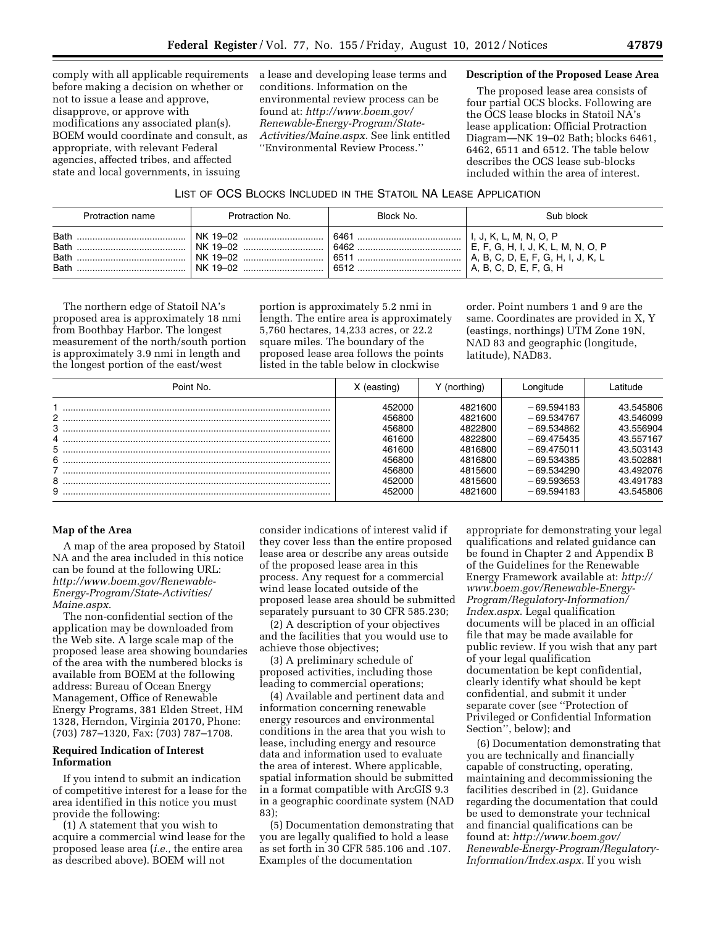comply with all applicable requirements before making a decision on whether or not to issue a lease and approve, disapprove, or approve with modifications any associated plan(s). BOEM would coordinate and consult, as appropriate, with relevant Federal agencies, affected tribes, and affected state and local governments, in issuing

a lease and developing lease terms and conditions. Information on the environmental review process can be found at: *[http://www.boem.gov/](http://www.boem.gov/Renewable-Energy-Program/State-Activities/Maine.aspx)  [Renewable-Energy-Program/State-](http://www.boem.gov/Renewable-Energy-Program/State-Activities/Maine.aspx)[Activities/Maine.aspx.](http://www.boem.gov/Renewable-Energy-Program/State-Activities/Maine.aspx)* See link entitled ''Environmental Review Process.''

### **Description of the Proposed Lease Area**

The proposed lease area consists of four partial OCS blocks. Following are the OCS lease blocks in Statoil NA's lease application: Official Protraction Diagram—NK 19–02 Bath; blocks 6461, 6462, 6511 and 6512. The table below describes the OCS lease sub-blocks included within the area of interest.

#### LIST OF OCS BLOCKS INCLUDED IN THE STATOIL NA LEASE APPLICATION

| Protraction name | Protraction No. | Block No. | Sub block                            |
|------------------|-----------------|-----------|--------------------------------------|
| <b>Bath</b>      | NK 19-02        | 6461      | . J. K. L. M. N. O. P                |
| <b>Bath</b>      | NK 19-02        | 6462      | E, F, G, H, I, J, K, L, M, N, O, P   |
| Bath             | NK 19-02        | 6511      | ' A, B, C, D, E, F, G, H, I, J, K, L |
| <b>Bath</b>      | NK 19-02        | 6512      | A. B. C. D. E. F. G. H               |

The northern edge of Statoil NA's proposed area is approximately 18 nmi from Boothbay Harbor. The longest measurement of the north/south portion is approximately 3.9 nmi in length and the longest portion of the east/west

portion is approximately 5.2 nmi in length. The entire area is approximately 5,760 hectares, 14,233 acres, or 22.2 square miles. The boundary of the proposed lease area follows the points listed in the table below in clockwise

order. Point numbers 1 and 9 are the same. Coordinates are provided in X, Y (eastings, northings) UTM Zone 19N, NAD 83 and geographic (longitude, latitude), NAD83.

| Point No. | X (easting) | Y (northing) | Lonaitude    | l atitude. |
|-----------|-------------|--------------|--------------|------------|
|           | 452000      | 4821600      | $-69.594183$ | 43.545806  |
|           | 456800      | 4821600      | $-69.534767$ | 43.546099  |
|           | 456800      | 4822800      | $-69.534862$ | 43.556904  |
|           | 461600      | 4822800      | $-69.475435$ | 43.557167  |
|           | 461600      | 4816800      | $-69.475011$ | 43.503143  |
|           | 456800      | 4816800      | $-69.534385$ | 43.502881  |
|           | 456800      | 4815600      | $-69.534290$ | 43.492076  |
|           | 452000      | 4815600      | $-69.593653$ | 43.491783  |
|           | 452000      | 4821600      | $-69.594183$ | 43.545806  |

### **Map of the Area**

A map of the area proposed by Statoil NA and the area included in this notice can be found at the following URL: *[http://www.boem.gov/Renewable-](http://www.boem.gov/Renewable-Energy-Program/State-Activities/Maine.aspx)[Energy-Program/State-Activities/](http://www.boem.gov/Renewable-Energy-Program/State-Activities/Maine.aspx) [Maine.aspx](http://www.boem.gov/Renewable-Energy-Program/State-Activities/Maine.aspx)*.

The non-confidential section of the application may be downloaded from the Web site. A large scale map of the proposed lease area showing boundaries of the area with the numbered blocks is available from BOEM at the following address: Bureau of Ocean Energy Management, Office of Renewable Energy Programs, 381 Elden Street, HM 1328, Herndon, Virginia 20170, Phone: (703) 787–1320, Fax: (703) 787–1708.

## **Required Indication of Interest Information**

If you intend to submit an indication of competitive interest for a lease for the area identified in this notice you must provide the following:

(1) A statement that you wish to acquire a commercial wind lease for the proposed lease area (*i.e.,* the entire area as described above). BOEM will not

consider indications of interest valid if they cover less than the entire proposed lease area or describe any areas outside of the proposed lease area in this process. Any request for a commercial wind lease located outside of the proposed lease area should be submitted separately pursuant to 30 CFR 585.230;

(2) A description of your objectives and the facilities that you would use to achieve those objectives;

(3) A preliminary schedule of proposed activities, including those leading to commercial operations;

(4) Available and pertinent data and information concerning renewable energy resources and environmental conditions in the area that you wish to lease, including energy and resource data and information used to evaluate the area of interest. Where applicable, spatial information should be submitted in a format compatible with ArcGIS 9.3 in a geographic coordinate system (NAD 83);

(5) Documentation demonstrating that you are legally qualified to hold a lease as set forth in 30 CFR 585.106 and .107. Examples of the documentation

appropriate for demonstrating your legal qualifications and related guidance can be found in Chapter 2 and Appendix B of the Guidelines for the Renewable Energy Framework available at: *[http://](http://www.boem.gov/Renewable-Energy-Program/Regulatory-Information/Index.aspx)  [www.boem.gov/Renewable-Energy-](http://www.boem.gov/Renewable-Energy-Program/Regulatory-Information/Index.aspx)[Program/Regulatory-Information/](http://www.boem.gov/Renewable-Energy-Program/Regulatory-Information/Index.aspx)  [Index.aspx](http://www.boem.gov/Renewable-Energy-Program/Regulatory-Information/Index.aspx)*. Legal qualification documents will be placed in an official file that may be made available for public review. If you wish that any part of your legal qualification documentation be kept confidential, clearly identify what should be kept confidential, and submit it under separate cover (see ''Protection of Privileged or Confidential Information Section'', below); and

(6) Documentation demonstrating that you are technically and financially capable of constructing, operating, maintaining and decommissioning the facilities described in (2). Guidance regarding the documentation that could be used to demonstrate your technical and financial qualifications can be found at: *[http://www.boem.gov/](http://www.boem.gov/Renewable-Energy-Program/Regulatory-Information/Index.aspx)  [Renewable-Energy-Program/Regulatory-](http://www.boem.gov/Renewable-Energy-Program/Regulatory-Information/Index.aspx)[Information/Index.aspx.](http://www.boem.gov/Renewable-Energy-Program/Regulatory-Information/Index.aspx)* If you wish